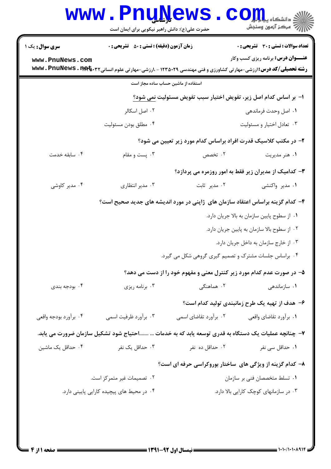|                                                                 | <b>www.PnuNews</b><br>حضرت علی(ع): دانش راهبر نیکویی برای ایمان است |                       | رِ ۖ مرڪز آزمون وسنڊش                                                                                                              |  |  |
|-----------------------------------------------------------------|---------------------------------------------------------------------|-----------------------|------------------------------------------------------------------------------------------------------------------------------------|--|--|
| <b>سری سوال :</b> یک ۱                                          | <b>زمان آزمون (دقیقه) : تستی : 50 ٪ تشریحی : 0</b>                  |                       | <b>تعداد سوالات : تستی : 30 ٪ تشریحی : 0</b>                                                                                       |  |  |
| www.PnuNews.com                                                 |                                                                     |                       | <b>عنـــوان درس:</b> برنامه ریزی کسب وکار                                                                                          |  |  |
|                                                                 |                                                                     |                       | <b>رشته تحصیلی/کد درس:</b> ارزشی-مهارتی کشاورزی و فنی مهندسی ۱۲۳۵۰۲۹ - ،ارزشی-مهارتی علوم انسانی <b>۱۳۹۲،۰۳۴۵ ته www . PnuNews</b> |  |  |
|                                                                 | استفاده از ماشین حساب ساده مجاز است                                 |                       |                                                                                                                                    |  |  |
|                                                                 | ا–  بر اساس کدام اصل زیر، تفویض اختیار سبب تفویض مسئولیت نمی شود؟   |                       |                                                                                                                                    |  |  |
|                                                                 | ۰۲ اصل اسکالر                                                       |                       | ۰۱ اصل وحدت فرماندهی                                                                                                               |  |  |
|                                                                 | ۰۴ مطلق بودن مسئوليت                                                |                       | ۰۳ تعادل اختيار و مسئوليت                                                                                                          |  |  |
| ۲- در مکتب کلاسیک قدرت افراد براساس کدام مورد زیر تعیین می شود؟ |                                                                     |                       |                                                                                                                                    |  |  |
| ۰۴ سابقه خدمت                                                   | ۰۳ پست و مقام                                                       | ۰۲ تخصص               | ۰۱ هنر مدیریت                                                                                                                      |  |  |
|                                                                 | ۳– کدامیک از مدیران زیر فقط به امور روزمره می پردازد؟               |                       |                                                                                                                                    |  |  |
| ۰۴ مدیر کاوشی                                                   | ۰۳ مدیر انتظاری                                                     | ۰۲ مدیر ثابت          | ۰۱ مدیر واکنشی                                                                                                                     |  |  |
|                                                                 |                                                                     |                       | ۴– کدام گزینه براساس اعتقاد سازمان های ژاپنی در مورد اندیشه های جدید صحیح است؟                                                     |  |  |
|                                                                 |                                                                     |                       | ٠١ از سطوح پايين سازمان به بالا جريان دارد.                                                                                        |  |  |
|                                                                 |                                                                     |                       | ٠٢ از سطوح بالا سازمان به پايين جريان دارد.                                                                                        |  |  |
|                                                                 | ٠٣ از خارج سازمان به داخل جريان دارد.                               |                       |                                                                                                                                    |  |  |
|                                                                 | ۰۴ براساس جلسات مشترک و تصمیم گیری گروهی شکل می گیرد.               |                       |                                                                                                                                    |  |  |
|                                                                 |                                                                     |                       | ۵– در صورت عدم کدام مورد زیر کنترل معنی و مفهوم خود را از دست می دهد؟                                                              |  |  |
| ۰۴ بودجه بندی                                                   | ۰۳ برنامه ریزی                                                      | ۰۲ هماهنگ <i>ی</i>    | ۰۱ سازماندهی                                                                                                                       |  |  |
|                                                                 |                                                                     |                       | ۶– هدف از تهیه یک طرح زمانبندی تولید کدام است؟                                                                                     |  |  |
| ۰۴ برآورد بودجه واقعى                                           | ۰۳ برآورد ظرفیت اسمی                                                | ۰۲ برآورد تقاضای اسمی | ۰۱ برآورد تقاضاي واقعي                                                                                                             |  |  |
|                                                                 |                                                                     |                       | ۷–  چنانچه عملیات یک دستگاه به قدری توسعه یابد که به خدمات … ……احتیاج شود تشکیل سازمان ضرورت می یابد.                              |  |  |
| ۰۴ حداقل یک ماشین                                               | ۰۳ حداقل یک نفر                                                     | ۰۲ حداقل ده نفر       | ۰۱ حداقل سی نفر                                                                                                                    |  |  |
|                                                                 |                                                                     |                       | ۸- کدام گزینه از ویژگی های ساختار بوروکراسی حرفه ای است؟                                                                           |  |  |
| ۰۲ تصمیمات غیر متمرکز است.                                      |                                                                     |                       | ٠١ تسلط متخصصان فني بر سازمان                                                                                                      |  |  |
| ۰۴ در محیط های پیچیده کارایی پایینی دارد.                       |                                                                     |                       | ۰۳ در سازمانهای کوچک کارایی بالا دارد.                                                                                             |  |  |
|                                                                 |                                                                     |                       |                                                                                                                                    |  |  |
|                                                                 |                                                                     |                       |                                                                                                                                    |  |  |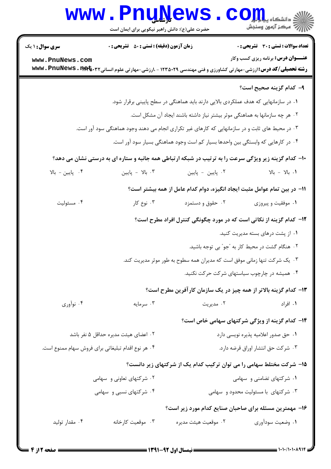|                                                    | <b>www.PnuNews</b><br>حضرت علی(ع): دانش راهبر نیکویی برای ایمان است                              |                                                                                     | رآ مرڪز آزمون وسنڊش                                                                                                                                                   |  |  |
|----------------------------------------------------|--------------------------------------------------------------------------------------------------|-------------------------------------------------------------------------------------|-----------------------------------------------------------------------------------------------------------------------------------------------------------------------|--|--|
| <b>سری سوال :</b> ۱ یک                             | <b>زمان آزمون (دقیقه) : تستی : 50 ٪ تشریحی : 0</b>                                               |                                                                                     | تعداد سوالات : تستي : 30 ٪ تشريحي : 0                                                                                                                                 |  |  |
| www.PnuNews.com                                    |                                                                                                  |                                                                                     | <b>عنـــوان درس:</b> برنامه ریزی کسب وکار<br><b>رشته تحصیلی/کد درس:</b> ارزشی-مهارتی کشاورزی و فنی مهندسی ۱۲۳۵۰۲۹ - ،ارزشی-مهارتی علوم انسانی۳۲*•nww . PnuNews . 11 - |  |  |
|                                                    |                                                                                                  |                                                                                     | ۹– کدام گزینه صحیح است؟                                                                                                                                               |  |  |
|                                                    |                                                                                                  | ۰۱ در سازمانهایی که هدف عملکردی بالایی دارند باید هماهنگی در سطح پایینی برقرار شود. |                                                                                                                                                                       |  |  |
|                                                    |                                                                                                  | ۰۲ هر چه سازمانها به هماهنگی موثر بیشتر نیاز داشته باشند ایجاد آن مشکل است.         |                                                                                                                                                                       |  |  |
|                                                    | ۰۳ در محیط های ثابت و در سازمانهایی که کارهای غیر تکراری انجام می دهند وجود هماهنگی سود آور است. |                                                                                     |                                                                                                                                                                       |  |  |
|                                                    |                                                                                                  | ۰۴ در کارهایی که وابستگی بین واحدها بسیار کم است وجود هماهنگی بسیار سود آور است.    |                                                                                                                                                                       |  |  |
|                                                    |                                                                                                  |                                                                                     | ۱۰- کدام گزینه زیر ویژگی سرعت را به ترتیب در شبکه ارتباطی همه جانبه و ستاره ای به درستی نشان می دهد؟                                                                  |  |  |
| ۰۴ پایین - بالا                                    | ۰۳ - پایین                                                                                       | ۰۲ پایین - پایین                                                                    | ٠١. بالا - بالا                                                                                                                                                       |  |  |
|                                                    |                                                                                                  |                                                                                     | 1۱– در بین تمام عوامل مثبت ایجاد انگیزه، دوام کدام عامل از همه بیشتر است؟                                                                                             |  |  |
| ۰۴ مسئوليت                                         | ۰۳ نوع کار                                                                                       | ۰۲ حقوق و دستمزد                                                                    | ۰۱ موفقیت و پیروزی                                                                                                                                                    |  |  |
|                                                    |                                                                                                  |                                                                                     | <b>۱۲</b> - کدام گزینه از نکاتی است که در مورد چگونگی کنترل افراد مطرح است؟                                                                                           |  |  |
|                                                    |                                                                                                  |                                                                                     | ۰۱ از پشت درهای بسته مدیریت کنید.                                                                                                                                     |  |  |
|                                                    |                                                                                                  |                                                                                     | ۰۲ هنگام گشت در محیط کار به "جو" بی توجه باشید.                                                                                                                       |  |  |
|                                                    |                                                                                                  | ۰۳ یک شرکت تنها زمانی موفق است که مدیران همه سطوح به طور موثر مدیریت کند.           |                                                                                                                                                                       |  |  |
|                                                    |                                                                                                  |                                                                                     | ۰۴ همیشه در چارچوب سیاستهای شرکت حرکت نکنید.                                                                                                                          |  |  |
|                                                    |                                                                                                  |                                                                                     | ۱۳- کدام گزینه بالاتر از همه چیز در یک سازمان کارآفرین مطرح است؟                                                                                                      |  |  |
| ۰۴ نوآوري                                          | ۰۳ سرمایه                                                                                        | ۰۲ مدیریت                                                                           | ۰۱ افراد                                                                                                                                                              |  |  |
|                                                    |                                                                                                  |                                                                                     | ۱۴- کدام گزینه از ویژگی شرکتهای سهامی خاص است؟                                                                                                                        |  |  |
|                                                    | ۰۲ اعضای هیئت مدیره حداقل ۵ نفر باشد                                                             | ٠١ حق صدور اعلاميه پذيره نويسي دارد                                                 |                                                                                                                                                                       |  |  |
| ۰۴ هر نوع اقدام تبليغاتي براي فروش سهام ممنوع است. |                                                                                                  |                                                                                     | ٠٣ شركت حق انتشار اوراق قرضه دارد.                                                                                                                                    |  |  |
|                                                    |                                                                                                  |                                                                                     | ۱۵- شرکت مختلط سهامی را می توان ترکیب کدام یک از شرکتهای زیر دانست؟                                                                                                   |  |  |
|                                                    | ۰۲ شرکتهای تعاونی و سهامی                                                                        |                                                                                     | ۰۱ شرکتهای تضامنی و سهامی                                                                                                                                             |  |  |
|                                                    | ۰۴ شرکتهای نسبی و سهامی                                                                          |                                                                                     | ۰۳ شرکتهای با مسئولیت محدود و سهامی                                                                                                                                   |  |  |
|                                                    |                                                                                                  |                                                                                     | ۱۶- مهمترین مسئله برای صاحبان صنایع کدام مورد زیر است؟                                                                                                                |  |  |
| ۰۴ مقدار تولید                                     | ۰۳ موقعیت کارخانه                                                                                | ۰۲ موقعیت هیئت مدیره                                                                | ۰۱ وضعیت سودآوری                                                                                                                                                      |  |  |
|                                                    |                                                                                                  |                                                                                     |                                                                                                                                                                       |  |  |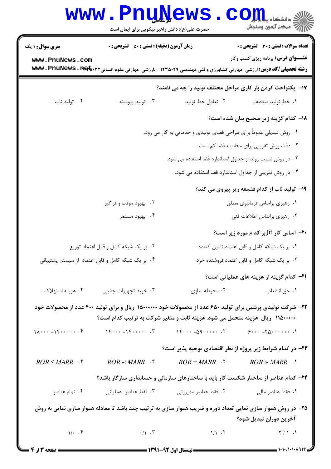|                                                                                                    | <b>www.PnuNews</b><br>حضرت علی(ع): دانش راهبر نیکویی برای ایمان است                                                                                                                       |                                                                     | ران دانشکاه پیا <mark>ہا ہوا</mark><br>ا∜ مرکز آزمون وسنجش                          |  |  |
|----------------------------------------------------------------------------------------------------|-------------------------------------------------------------------------------------------------------------------------------------------------------------------------------------------|---------------------------------------------------------------------|-------------------------------------------------------------------------------------|--|--|
| <b>سری سوال : ۱ یک</b>                                                                             | <b>زمان آزمون (دقیقه) : تستی : 50 ٪ تشریحی : 0</b>                                                                                                                                        |                                                                     | <b>تعداد سوالات : تستی : 30 ٪ تشریحی : 0</b>                                        |  |  |
| www.PnuNews.com                                                                                    | <b>رشته تحصیلی/کد درس:</b> ارزشی-مهارتی کشاورزی و فنی مهندسی ۱۲۳۵۰۲۹ - ،ارزشی-مهارتی علوم انسانی <b>۱۳۹۲،۰۳۴۵ ته www . PnuNews</b>                                                        |                                                                     | <b>عنـــوان درس:</b> برنامه ریزی کسب وکار                                           |  |  |
|                                                                                                    |                                                                                                                                                                                           |                                                                     | ۱۷- یکنواخت کردن بار کاری مراحل مختلف تولید را چه می نامند؟                         |  |  |
| ۰۴ تولید ناب                                                                                       | ۰۳ تولید پیوسته                                                                                                                                                                           | ۰۲ تعادل خط توليد                                                   | ٠١. خط توليد منعطف                                                                  |  |  |
|                                                                                                    |                                                                                                                                                                                           |                                                                     | 1۸– کدام گزینه زیر صحیح بیان شده است؟                                               |  |  |
|                                                                                                    |                                                                                                                                                                                           | ۰۱ روش تبدیلی عموماً برای طراحی فضای تولیدی و خدماتی به کار می رود. |                                                                                     |  |  |
|                                                                                                    | ٠٢ دقت روش تقريبي براي محاسبه فضا كم است.                                                                                                                                                 |                                                                     |                                                                                     |  |  |
|                                                                                                    | ۰۳ در روش نسبت روند از جداول استاندارد فضا استفاده می شود.                                                                                                                                |                                                                     |                                                                                     |  |  |
|                                                                                                    |                                                                                                                                                                                           |                                                                     | ۰۴ در روش تقریبی از جداول استاندارد فضا استفاده می شود.                             |  |  |
|                                                                                                    |                                                                                                                                                                                           |                                                                     | ۱۹- تولید ناب از کدام فلسفه زیر پیروی می کند؟                                       |  |  |
|                                                                                                    | ۰۲ بهبود موقت و فراگیر                                                                                                                                                                    |                                                                     | ٠١ رهبري براساس فرمانبري مطلق                                                       |  |  |
|                                                                                                    | ۰۴ بهبود مستمر                                                                                                                                                                            |                                                                     | ۰۳ رهبري براساس اطلاعات فني                                                         |  |  |
|                                                                                                    |                                                                                                                                                                                           |                                                                     | <b>۲۰</b> - اساس کار Jitبر کدام مورد زیر است؟                                       |  |  |
|                                                                                                    | ۰۲ بر یک شبکه کامل و قابل اعتماد توزیع                                                                                                                                                    |                                                                     | ٠١. بر يک شبکه کامل و قابل اعتماد تامين کننده                                       |  |  |
| ۰۴ بر یک شبکه کامل و قابل اعتماد از سیستم پشتیبانی<br>۰۳ بر یک شبکه کامل و قابل اعتماد فروشنده خرد |                                                                                                                                                                                           |                                                                     |                                                                                     |  |  |
|                                                                                                    |                                                                                                                                                                                           |                                                                     | <b>٢١</b> - كدام گزينه از هزينه هاي عملياتي است؟                                    |  |  |
| ۰۴ هزينه استهلاک                                                                                   | ۰۳ خرید تجهیزات جانبی                                                                                                                                                                     | ۰۲ محوطه سازی                                                       | ٠١ حق انشعاب                                                                        |  |  |
|                                                                                                    | ۲۲– شرکت تولیدی پرشین برای تولید ۶۵۰ عدد از محصولات خود ۱۵۰۰۰۰۰۰ ریال و برای تولید ۴۰۰ عدد از محصولات خود<br>۱۱۵۰۰۰۰۰ ریال هزینه متحمل می شود. هزینه ثابت و متغیر شرکت به ترتیب کدام است؟ |                                                                     |                                                                                     |  |  |
| $1\Lambda \cdots - 1$ $\uparrow \cdots \cdots$ .                                                   | $\gamma$ $\gamma$ $\gamma$ $\gamma$                                                                                                                                                       | $16 -09$                                                            | $5 \cdots - 70 \cdots$                                                              |  |  |
|                                                                                                    |                                                                                                                                                                                           |                                                                     | ۲۳- در کدام شرایط زیر پروژه از نظر اقتصادی توجیه پذیر است؟                          |  |  |
| $ROR \leq MARR$ f                                                                                  | $ROR \prec MARR$ .                                                                                                                                                                        | $ROR = MARR$ .                                                      | $ROR \succ MARK$ .                                                                  |  |  |
|                                                                                                    |                                                                                                                                                                                           |                                                                     | ۲۴- کدام عناصر از ساختار شکست کار باید با ساختارهای سازمانی و حسابداری سازگار باشد؟ |  |  |
| ۰۴ تمام عناصر                                                                                      | ۰۳ فقط عناصر عملياتي                                                                                                                                                                      | ٠٢ فقط عناصر مديريتي                                                | ٠١. فقط عناصر مالي                                                                  |  |  |
|                                                                                                    | ۲۵- در روش هموار سازی نمایی تعداد دوره و ضریب هموار سازی به ترتیب چند باشد تا معادله هموار سازی نمایی به روش                                                                              |                                                                     | آخرین دوران تبدیل شود؟                                                              |  |  |
| $1/2$ . $5$                                                                                        | $\cdot/\gamma$ . $\tau$                                                                                                                                                                   | $1/1$ $\cdot$ $\cdot$ $\cdot$                                       | $\gamma / \gamma$ .                                                                 |  |  |